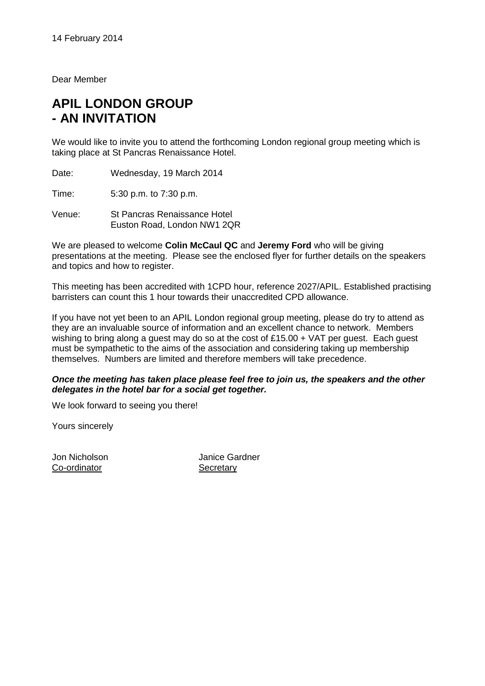Dear Member

# **APIL LONDON GROUP - AN INVITATION**

We would like to invite you to attend the forthcoming London regional group meeting which is taking place at St Pancras Renaissance Hotel.

Date: Wednesday, 19 March 2014

Time: 5:30 p.m. to 7:30 p.m.

Venue: St Pancras Renaissance Hotel Euston Road, London NW1 2QR

We are pleased to welcome **Colin McCaul QC** and **Jeremy Ford** who will be giving presentations at the meeting. Please see the enclosed flyer for further details on the speakers and topics and how to register.

This meeting has been accredited with 1CPD hour, reference 2027/APIL. Established practising barristers can count this 1 hour towards their unaccredited CPD allowance.

If you have not yet been to an APIL London regional group meeting, please do try to attend as they are an invaluable source of information and an excellent chance to network. Members wishing to bring along a guest may do so at the cost of £15.00 + VAT per guest. Each guest must be sympathetic to the aims of the association and considering taking up membership themselves. Numbers are limited and therefore members will take precedence.

## *Once the meeting has taken place please feel free to join us, the speakers and the other delegates in the hotel bar for a social get together.*

We look forward to seeing you there!

Yours sincerely

Co-ordinator Secretary

Jon Nicholson Janice Gardner